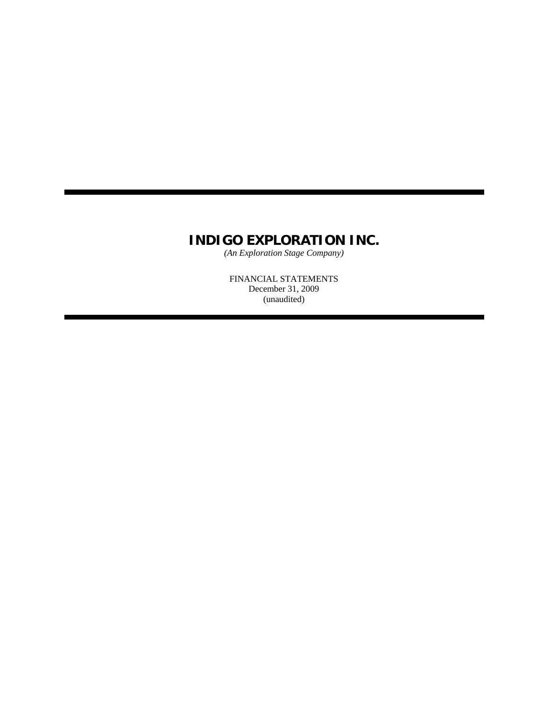*(An Exploration Stage Company)*

FINANCIAL STATEMENTS December 31, 2009 (unaudited)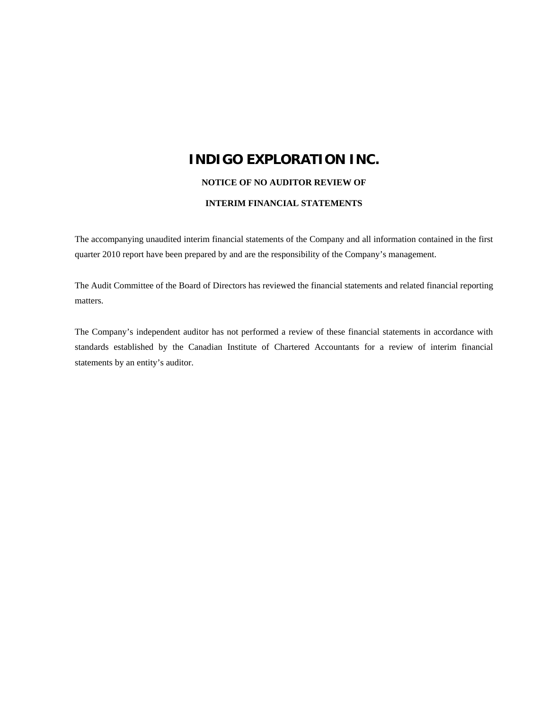#### **NOTICE OF NO AUDITOR REVIEW OF**

#### **INTERIM FINANCIAL STATEMENTS**

The accompanying unaudited interim financial statements of the Company and all information contained in the first quarter 2010 report have been prepared by and are the responsibility of the Company's management.

The Audit Committee of the Board of Directors has reviewed the financial statements and related financial reporting matters.

The Company's independent auditor has not performed a review of these financial statements in accordance with standards established by the Canadian Institute of Chartered Accountants for a review of interim financial statements by an entity's auditor.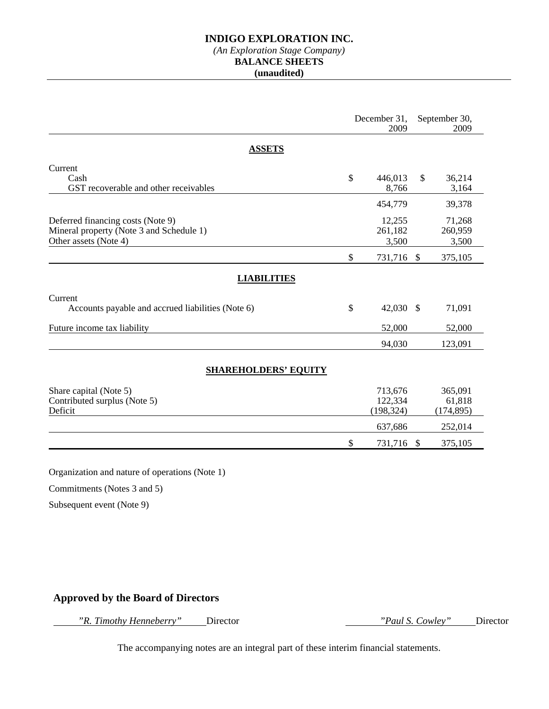# *(An Exploration Stage Company)*

**BALANCE SHEETS** 

### **(unaudited)**

|                                                                                                        | December 31,<br>2009 |                                  | September 30,<br>2009 |                                 |
|--------------------------------------------------------------------------------------------------------|----------------------|----------------------------------|-----------------------|---------------------------------|
| <b>ASSETS</b>                                                                                          |                      |                                  |                       |                                 |
| Current<br>Cash<br>GST recoverable and other receivables                                               | $\mathcal{S}$        | 446,013<br>8,766                 | $\mathbb{S}$          | 36,214<br>3,164                 |
|                                                                                                        |                      | 454,779                          |                       | 39,378                          |
| Deferred financing costs (Note 9)<br>Mineral property (Note 3 and Schedule 1)<br>Other assets (Note 4) |                      | 12,255<br>261,182<br>3,500       |                       | 71,268<br>260,959<br>3,500      |
|                                                                                                        | \$                   | 731,716 \$                       |                       | 375,105                         |
| <b>LIABILITIES</b>                                                                                     |                      |                                  |                       |                                 |
| Current<br>Accounts payable and accrued liabilities (Note 6)                                           | $\mathcal{S}$        | 42,030                           | - \$                  | 71,091                          |
| Future income tax liability                                                                            |                      | 52,000                           |                       | 52,000                          |
|                                                                                                        |                      | 94,030                           |                       | 123,091                         |
| <b>SHAREHOLDERS' EQUITY</b>                                                                            |                      |                                  |                       |                                 |
| Share capital (Note 5)<br>Contributed surplus (Note 5)<br>Deficit                                      |                      | 713,676<br>122,334<br>(198, 324) |                       | 365,091<br>61,818<br>(174, 895) |
|                                                                                                        |                      | 637,686                          |                       | 252,014                         |
|                                                                                                        | \$                   | 731,716                          | $\mathcal{S}$         | 375,105                         |

Organization and nature of operations (Note 1)

Commitments (Notes 3 and 5)

Subsequent event (Note 9)

# **Approved by the Board of Directors**

 *"R. Timothy Henneberry"* Director *"Paul S. Cowley"* Director

The accompanying notes are an integral part of these interim financial statements.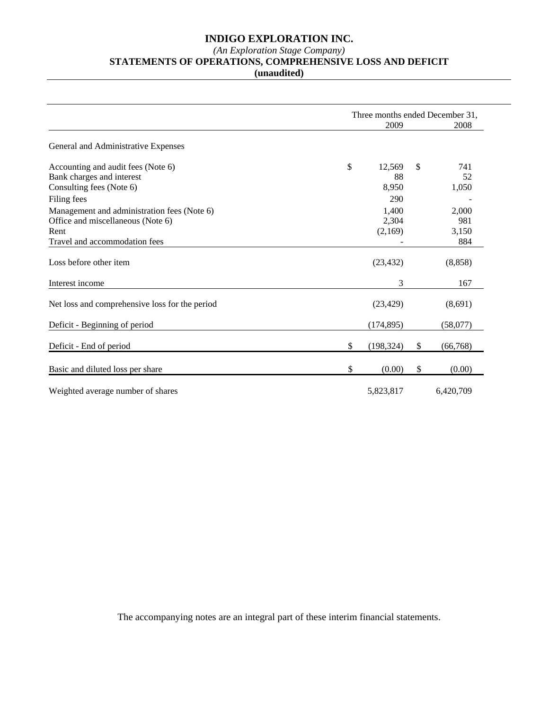#### *(An Exploration Stage Company)*

#### **STATEMENTS OF OPERATIONS, COMPREHENSIVE LOSS AND DEFICIT**

**(unaudited)** 

|                                                | Three months ended December 31, |            |    |           |
|------------------------------------------------|---------------------------------|------------|----|-----------|
|                                                |                                 | 2009       |    |           |
| General and Administrative Expenses            |                                 |            |    |           |
| Accounting and audit fees (Note 6)             | \$                              | 12,569     | \$ | 741       |
| Bank charges and interest                      |                                 | 88         |    | 52        |
| Consulting fees (Note 6)                       |                                 | 8,950      |    | 1,050     |
| Filing fees                                    |                                 | 290        |    |           |
| Management and administration fees (Note 6)    |                                 | 1,400      |    | 2,000     |
| Office and miscellaneous (Note 6)              |                                 | 2,304      |    | 981       |
| Rent                                           |                                 | (2,169)    |    | 3,150     |
| Travel and accommodation fees                  |                                 |            |    | 884       |
| Loss before other item                         |                                 | (23, 432)  |    | (8, 858)  |
| Interest income                                |                                 | 3          |    | 167       |
| Net loss and comprehensive loss for the period |                                 | (23, 429)  |    | (8,691)   |
| Deficit - Beginning of period                  |                                 | (174, 895) |    | (58,077)  |
| Deficit - End of period                        | \$                              | (198, 324) | S  | (66, 768) |
| Basic and diluted loss per share               | \$                              | (0.00)     | \$ | (0.00)    |
| Weighted average number of shares              |                                 | 5,823,817  |    | 6,420,709 |

The accompanying notes are an integral part of these interim financial statements.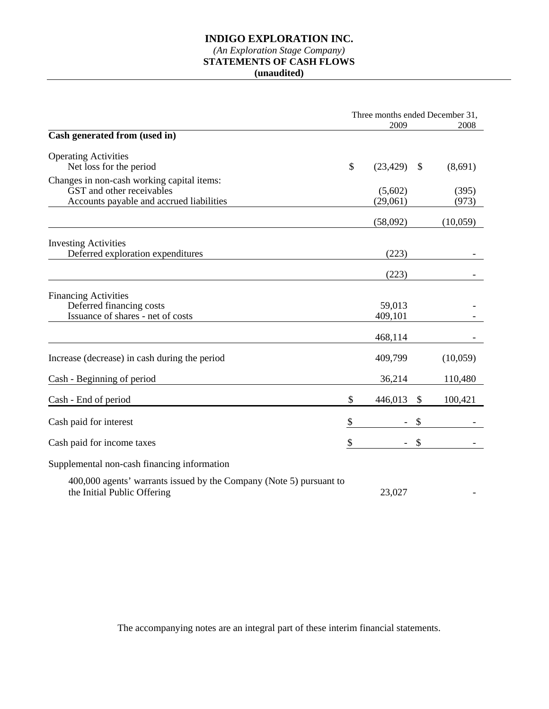## **INDIGO EXPLORATION INC.**  *(An Exploration Stage Company)*

# **STATEMENTS OF CASH FLOWS**

**(unaudited)** 

|                                                                                                    | Three months ended December 31, |                            |          |
|----------------------------------------------------------------------------------------------------|---------------------------------|----------------------------|----------|
|                                                                                                    | 2009                            |                            | 2008     |
| Cash generated from (used in)                                                                      |                                 |                            |          |
| <b>Operating Activities</b>                                                                        |                                 |                            |          |
| Net loss for the period                                                                            | \$<br>(23, 429)                 | $\boldsymbol{\mathcal{S}}$ | (8,691)  |
| Changes in non-cash working capital items:                                                         |                                 |                            |          |
| GST and other receivables                                                                          | (5,602)                         |                            | (395)    |
| Accounts payable and accrued liabilities                                                           | (29,061)                        |                            | (973)    |
|                                                                                                    | (58,092)                        |                            | (10,059) |
| <b>Investing Activities</b>                                                                        |                                 |                            |          |
| Deferred exploration expenditures                                                                  | (223)                           |                            |          |
|                                                                                                    | (223)                           |                            |          |
| <b>Financing Activities</b>                                                                        |                                 |                            |          |
| Deferred financing costs                                                                           | 59,013                          |                            |          |
| Issuance of shares - net of costs                                                                  | 409,101                         |                            |          |
|                                                                                                    |                                 |                            |          |
|                                                                                                    | 468,114                         |                            |          |
| Increase (decrease) in cash during the period                                                      | 409,799                         |                            | (10,059) |
| Cash - Beginning of period                                                                         | 36,214                          |                            | 110,480  |
| Cash - End of period                                                                               | \$<br>446,013                   | \$                         | 100,421  |
| Cash paid for interest                                                                             | \$<br>$\overline{\phantom{a}}$  | \$                         |          |
| Cash paid for income taxes                                                                         | \$                              | \$                         |          |
|                                                                                                    |                                 |                            |          |
| Supplemental non-cash financing information                                                        |                                 |                            |          |
| 400,000 agents' warrants issued by the Company (Note 5) pursuant to<br>the Initial Public Offering | 23,027                          |                            |          |
|                                                                                                    |                                 |                            |          |

The accompanying notes are an integral part of these interim financial statements.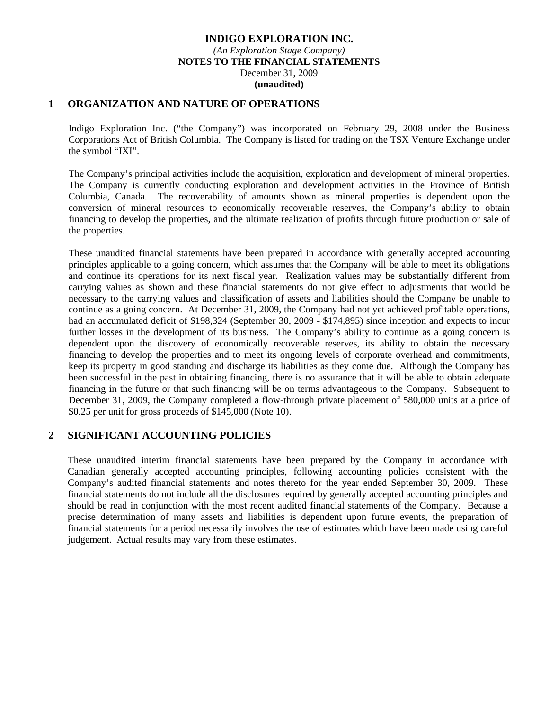## **1 ORGANIZATION AND NATURE OF OPERATIONS**

Indigo Exploration Inc. ("the Company") was incorporated on February 29, 2008 under the Business Corporations Act of British Columbia. The Company is listed for trading on the TSX Venture Exchange under the symbol "IXI".

The Company's principal activities include the acquisition, exploration and development of mineral properties. The Company is currently conducting exploration and development activities in the Province of British Columbia, Canada. The recoverability of amounts shown as mineral properties is dependent upon the conversion of mineral resources to economically recoverable reserves, the Company's ability to obtain financing to develop the properties, and the ultimate realization of profits through future production or sale of the properties.

These unaudited financial statements have been prepared in accordance with generally accepted accounting principles applicable to a going concern, which assumes that the Company will be able to meet its obligations and continue its operations for its next fiscal year. Realization values may be substantially different from carrying values as shown and these financial statements do not give effect to adjustments that would be necessary to the carrying values and classification of assets and liabilities should the Company be unable to continue as a going concern. At December 31, 2009, the Company had not yet achieved profitable operations, had an accumulated deficit of \$198,324 (September 30, 2009 - \$174,895) since inception and expects to incur further losses in the development of its business. The Company's ability to continue as a going concern is dependent upon the discovery of economically recoverable reserves, its ability to obtain the necessary financing to develop the properties and to meet its ongoing levels of corporate overhead and commitments, keep its property in good standing and discharge its liabilities as they come due. Although the Company has been successful in the past in obtaining financing, there is no assurance that it will be able to obtain adequate financing in the future or that such financing will be on terms advantageous to the Company. Subsequent to December 31, 2009, the Company completed a flow-through private placement of 580,000 units at a price of \$0.25 per unit for gross proceeds of \$145,000 (Note 10).

## **2 SIGNIFICANT ACCOUNTING POLICIES**

These unaudited interim financial statements have been prepared by the Company in accordance with Canadian generally accepted accounting principles, following accounting policies consistent with the Company's audited financial statements and notes thereto for the year ended September 30, 2009. These financial statements do not include all the disclosures required by generally accepted accounting principles and should be read in conjunction with the most recent audited financial statements of the Company. Because a precise determination of many assets and liabilities is dependent upon future events, the preparation of financial statements for a period necessarily involves the use of estimates which have been made using careful judgement. Actual results may vary from these estimates.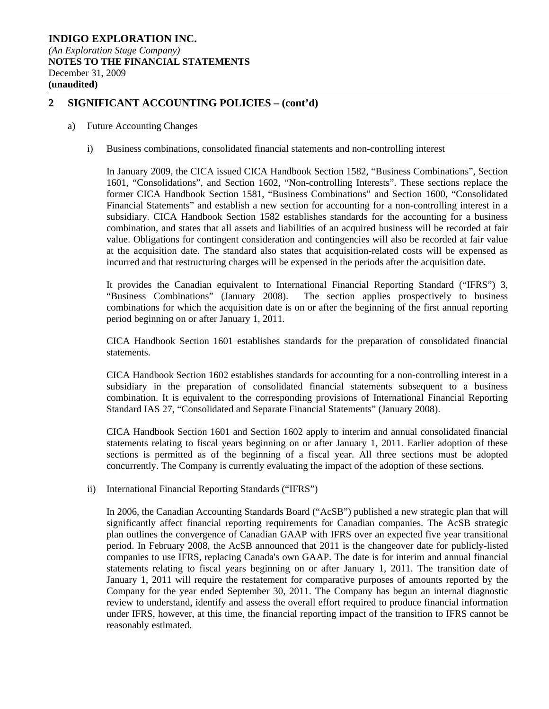# **2 SIGNIFICANT ACCOUNTING POLICIES – (cont'd)**

#### a) Future Accounting Changes

i) Business combinations, consolidated financial statements and non-controlling interest

In January 2009, the CICA issued CICA Handbook Section 1582, "Business Combinations", Section 1601, "Consolidations", and Section 1602, "Non-controlling Interests". These sections replace the former CICA Handbook Section 1581, "Business Combinations" and Section 1600, "Consolidated Financial Statements" and establish a new section for accounting for a non-controlling interest in a subsidiary. CICA Handbook Section 1582 establishes standards for the accounting for a business combination, and states that all assets and liabilities of an acquired business will be recorded at fair value. Obligations for contingent consideration and contingencies will also be recorded at fair value at the acquisition date. The standard also states that acquisition-related costs will be expensed as incurred and that restructuring charges will be expensed in the periods after the acquisition date.

It provides the Canadian equivalent to International Financial Reporting Standard ("IFRS") 3, "Business Combinations" (January 2008). The section applies prospectively to business combinations for which the acquisition date is on or after the beginning of the first annual reporting period beginning on or after January 1, 2011.

CICA Handbook Section 1601 establishes standards for the preparation of consolidated financial statements.

CICA Handbook Section 1602 establishes standards for accounting for a non-controlling interest in a subsidiary in the preparation of consolidated financial statements subsequent to a business combination. It is equivalent to the corresponding provisions of International Financial Reporting Standard IAS 27, "Consolidated and Separate Financial Statements" (January 2008).

CICA Handbook Section 1601 and Section 1602 apply to interim and annual consolidated financial statements relating to fiscal years beginning on or after January 1, 2011. Earlier adoption of these sections is permitted as of the beginning of a fiscal year. All three sections must be adopted concurrently. The Company is currently evaluating the impact of the adoption of these sections.

ii) International Financial Reporting Standards ("IFRS")

In 2006, the Canadian Accounting Standards Board ("AcSB") published a new strategic plan that will significantly affect financial reporting requirements for Canadian companies. The AcSB strategic plan outlines the convergence of Canadian GAAP with IFRS over an expected five year transitional period. In February 2008, the AcSB announced that 2011 is the changeover date for publicly-listed companies to use IFRS, replacing Canada's own GAAP. The date is for interim and annual financial statements relating to fiscal years beginning on or after January 1, 2011. The transition date of January 1, 2011 will require the restatement for comparative purposes of amounts reported by the Company for the year ended September 30, 2011. The Company has begun an internal diagnostic review to understand, identify and assess the overall effort required to produce financial information under IFRS, however, at this time, the financial reporting impact of the transition to IFRS cannot be reasonably estimated.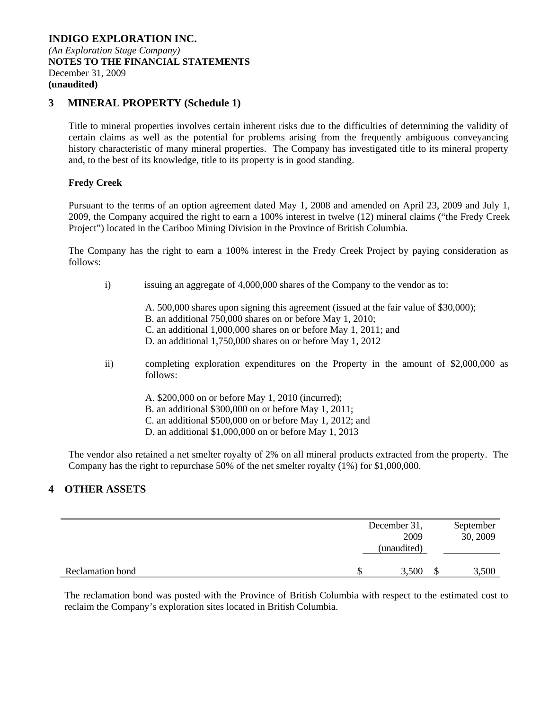# **3 MINERAL PROPERTY (Schedule 1)**

Title to mineral properties involves certain inherent risks due to the difficulties of determining the validity of certain claims as well as the potential for problems arising from the frequently ambiguous conveyancing history characteristic of many mineral properties. The Company has investigated title to its mineral property and, to the best of its knowledge, title to its property is in good standing.

### **Fredy Creek**

Pursuant to the terms of an option agreement dated May 1, 2008 and amended on April 23, 2009 and July 1, 2009, the Company acquired the right to earn a 100% interest in twelve (12) mineral claims ("the Fredy Creek Project") located in the Cariboo Mining Division in the Province of British Columbia.

The Company has the right to earn a 100% interest in the Fredy Creek Project by paying consideration as follows:

- i) issuing an aggregate of 4,000,000 shares of the Company to the vendor as to:
	- A. 500,000 shares upon signing this agreement (issued at the fair value of \$30,000);
	- B. an additional 750,000 shares on or before May 1, 2010;
	- C. an additional 1,000,000 shares on or before May 1, 2011; and
	- D. an additional 1,750,000 shares on or before May 1, 2012
- ii) completing exploration expenditures on the Property in the amount of \$2,000,000 as follows:
	- A. \$200,000 on or before May 1, 2010 (incurred);
	- B. an additional \$300,000 on or before May 1, 2011;
	- C. an additional \$500,000 on or before May 1, 2012; and
	- D. an additional \$1,000,000 on or before May 1, 2013

The vendor also retained a net smelter royalty of 2% on all mineral products extracted from the property. The Company has the right to repurchase 50% of the net smelter royalty (1%) for \$1,000,000.

## **4 OTHER ASSETS**

|                  | December 31,<br>2009<br>(unaudited) |   | September<br>30, 2009 |
|------------------|-------------------------------------|---|-----------------------|
| Reclamation bond | 3,500                               | S | 3,500                 |

The reclamation bond was posted with the Province of British Columbia with respect to the estimated cost to reclaim the Company's exploration sites located in British Columbia.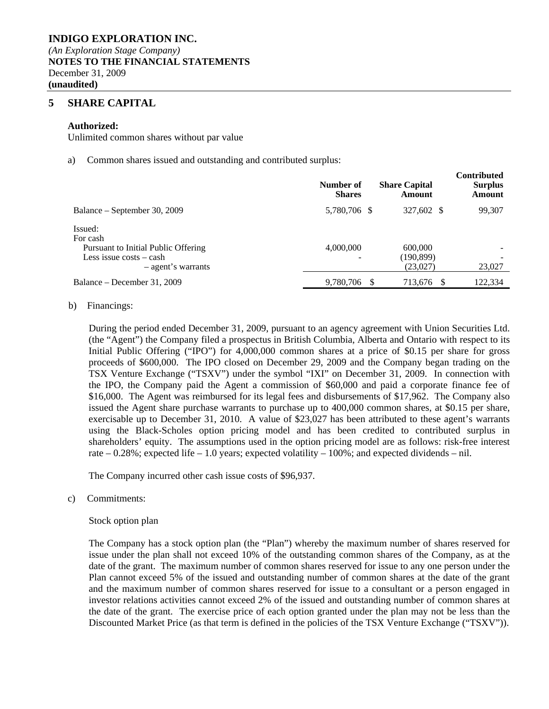### **5 SHARE CAPITAL**

#### **Authorized:**

Unlimited common shares without par value

a) Common shares issued and outstanding and contributed surplus:

|                                                                                                               | Number of<br><b>Shares</b> | <b>Share Capital</b><br>Amount    | <b>Contributed</b><br><b>Surplus</b><br>Amount |
|---------------------------------------------------------------------------------------------------------------|----------------------------|-----------------------------------|------------------------------------------------|
| Balance – September 30, 2009                                                                                  | 5,780,706 \$               | 327,602 \$                        | 99,307                                         |
| Issued:<br>For cash<br>Pursuant to Initial Public Offering<br>Less issue $costs - cash$<br>- agent's warrants | 4,000,000                  | 600,000<br>(190, 899)<br>(23,027) | 23,027                                         |
| Balance – December 31, 2009                                                                                   | 9,780,706                  | 713,676                           | 122,334                                        |

#### b) Financings:

During the period ended December 31, 2009, pursuant to an agency agreement with Union Securities Ltd. (the "Agent") the Company filed a prospectus in British Columbia, Alberta and Ontario with respect to its Initial Public Offering ("IPO") for 4,000,000 common shares at a price of \$0.15 per share for gross proceeds of \$600,000. The IPO closed on December 29, 2009 and the Company began trading on the TSX Venture Exchange ("TSXV") under the symbol "IXI" on December 31, 2009. In connection with the IPO, the Company paid the Agent a commission of \$60,000 and paid a corporate finance fee of \$16,000. The Agent was reimbursed for its legal fees and disbursements of \$17,962. The Company also issued the Agent share purchase warrants to purchase up to 400,000 common shares, at \$0.15 per share, exercisable up to December 31, 2010. A value of \$23,027 has been attributed to these agent's warrants using the Black-Scholes option pricing model and has been credited to contributed surplus in shareholders' equity. The assumptions used in the option pricing model are as follows: risk-free interest rate – 0.28%; expected life – 1.0 years; expected volatility – 100%; and expected dividends – nil.

The Company incurred other cash issue costs of \$96,937.

c) Commitments:

#### Stock option plan

The Company has a stock option plan (the "Plan") whereby the maximum number of shares reserved for issue under the plan shall not exceed 10% of the outstanding common shares of the Company, as at the date of the grant. The maximum number of common shares reserved for issue to any one person under the Plan cannot exceed 5% of the issued and outstanding number of common shares at the date of the grant and the maximum number of common shares reserved for issue to a consultant or a person engaged in investor relations activities cannot exceed 2% of the issued and outstanding number of common shares at the date of the grant. The exercise price of each option granted under the plan may not be less than the Discounted Market Price (as that term is defined in the policies of the TSX Venture Exchange ("TSXV")).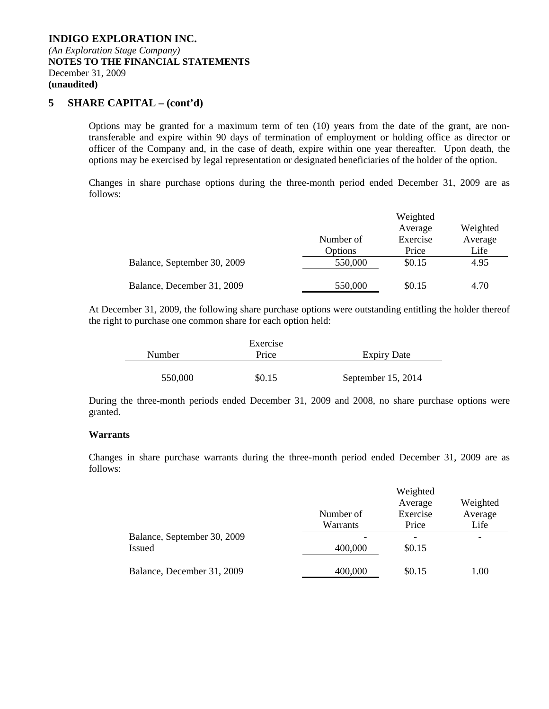### **INDIGO EXPLORATION INC.**  *(An Exploration Stage Company)*  **NOTES TO THE FINANCIAL STATEMENTS**  December 31, 2009 **(unaudited)**

# **5 SHARE CAPITAL – (cont'd)**

Options may be granted for a maximum term of ten (10) years from the date of the grant, are nontransferable and expire within 90 days of termination of employment or holding office as director or officer of the Company and, in the case of death, expire within one year thereafter. Upon death, the options may be exercised by legal representation or designated beneficiaries of the holder of the option.

Changes in share purchase options during the three-month period ended December 31, 2009 are as follows:

|                             |           | Weighted |          |
|-----------------------------|-----------|----------|----------|
|                             |           | Average  | Weighted |
|                             | Number of | Exercise | Average  |
|                             | Options   | Price    | Life     |
| Balance, September 30, 2009 | 550,000   | \$0.15   | 4.95     |
| Balance, December 31, 2009  | 550,000   | \$0.15   | 4.70     |

At December 31, 2009, the following share purchase options were outstanding entitling the holder thereof the right to purchase one common share for each option held:

|               | Exercise |                    |
|---------------|----------|--------------------|
| <b>Number</b> | Price    | <b>Expiry Date</b> |
|               |          |                    |
| 550,000       | \$0.15   | September 15, 2014 |

During the three-month periods ended December 31, 2009 and 2008, no share purchase options were granted.

#### **Warrants**

Changes in share purchase warrants during the three-month period ended December 31, 2009 are as follows:

|                             |           | Weighted                 |          |
|-----------------------------|-----------|--------------------------|----------|
|                             |           | Average                  | Weighted |
|                             | Number of | Exercise                 | Average  |
|                             | Warrants  | Price                    | Life     |
| Balance, September 30, 2009 |           | $\overline{\phantom{0}}$ |          |
| <b>Issued</b>               | 400,000   | \$0.15                   |          |
| Balance, December 31, 2009  | 400,000   | \$0.15                   | 1.00     |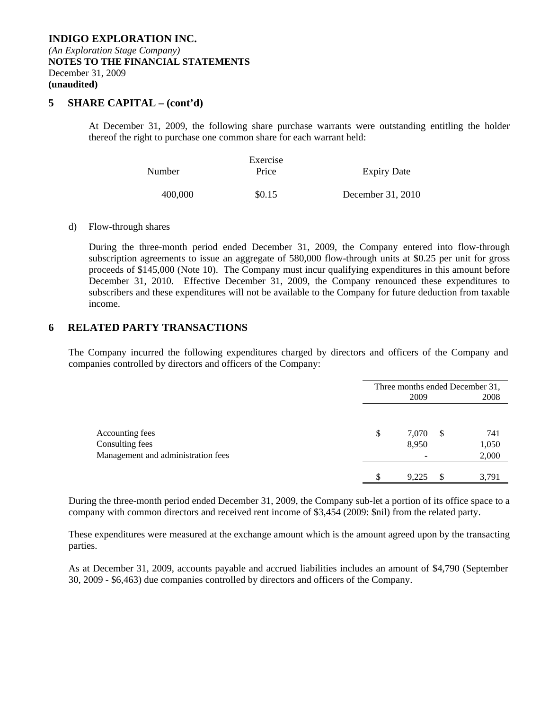### **5 SHARE CAPITAL – (cont'd)**

At December 31, 2009, the following share purchase warrants were outstanding entitling the holder thereof the right to purchase one common share for each warrant held:

|         | Exercise |                    |
|---------|----------|--------------------|
| Number  | Price    | <b>Expiry Date</b> |
|         |          |                    |
| 400,000 | \$0.15   | December 31, 2010  |

#### d) Flow-through shares

During the three-month period ended December 31, 2009, the Company entered into flow-through subscription agreements to issue an aggregate of 580,000 flow-through units at \$0.25 per unit for gross proceeds of \$145,000 (Note 10). The Company must incur qualifying expenditures in this amount before December 31, 2010. Effective December 31, 2009, the Company renounced these expenditures to subscribers and these expenditures will not be available to the Company for future deduction from taxable income.

### **6 RELATED PARTY TRANSACTIONS**

The Company incurred the following expenditures charged by directors and officers of the Company and companies controlled by directors and officers of the Company:

|                                    | Three months ended December 31,<br>2009 |                |    | 2008         |  |
|------------------------------------|-----------------------------------------|----------------|----|--------------|--|
| Accounting fees<br>Consulting fees | \$                                      | 7,070<br>8,950 | -S | 741<br>1,050 |  |
| Management and administration fees |                                         |                |    | 2,000        |  |
|                                    |                                         | 9.225          |    | 3.791        |  |

During the three-month period ended December 31, 2009, the Company sub-let a portion of its office space to a company with common directors and received rent income of \$3,454 (2009: \$nil) from the related party.

These expenditures were measured at the exchange amount which is the amount agreed upon by the transacting parties.

As at December 31, 2009, accounts payable and accrued liabilities includes an amount of \$4,790 (September 30, 2009 - \$6,463) due companies controlled by directors and officers of the Company.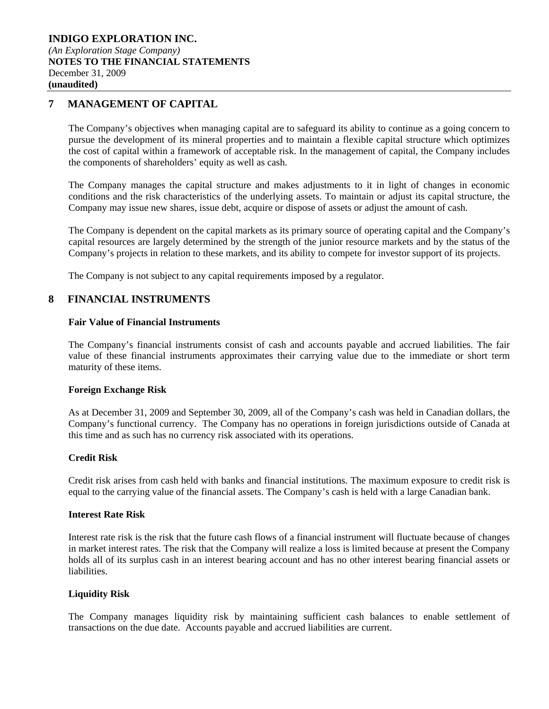# **7 MANAGEMENT OF CAPITAL**

The Company's objectives when managing capital are to safeguard its ability to continue as a going concern to pursue the development of its mineral properties and to maintain a flexible capital structure which optimizes the cost of capital within a framework of acceptable risk. In the management of capital, the Company includes the components of shareholders' equity as well as cash.

The Company manages the capital structure and makes adjustments to it in light of changes in economic conditions and the risk characteristics of the underlying assets. To maintain or adjust its capital structure, the Company may issue new shares, issue debt, acquire or dispose of assets or adjust the amount of cash.

The Company is dependent on the capital markets as its primary source of operating capital and the Company's capital resources are largely determined by the strength of the junior resource markets and by the status of the Company's projects in relation to these markets, and its ability to compete for investor support of its projects.

The Company is not subject to any capital requirements imposed by a regulator.

## **8 FINANCIAL INSTRUMENTS**

### **Fair Value of Financial Instruments**

The Company's financial instruments consist of cash and accounts payable and accrued liabilities. The fair value of these financial instruments approximates their carrying value due to the immediate or short term maturity of these items.

#### **Foreign Exchange Risk**

As at December 31, 2009 and September 30, 2009, all of the Company's cash was held in Canadian dollars, the Company's functional currency. The Company has no operations in foreign jurisdictions outside of Canada at this time and as such has no currency risk associated with its operations.

## **Credit Risk**

Credit risk arises from cash held with banks and financial institutions. The maximum exposure to credit risk is equal to the carrying value of the financial assets. The Company's cash is held with a large Canadian bank.

#### **Interest Rate Risk**

Interest rate risk is the risk that the future cash flows of a financial instrument will fluctuate because of changes in market interest rates. The risk that the Company will realize a loss is limited because at present the Company holds all of its surplus cash in an interest bearing account and has no other interest bearing financial assets or liabilities.

### **Liquidity Risk**

The Company manages liquidity risk by maintaining sufficient cash balances to enable settlement of transactions on the due date. Accounts payable and accrued liabilities are current.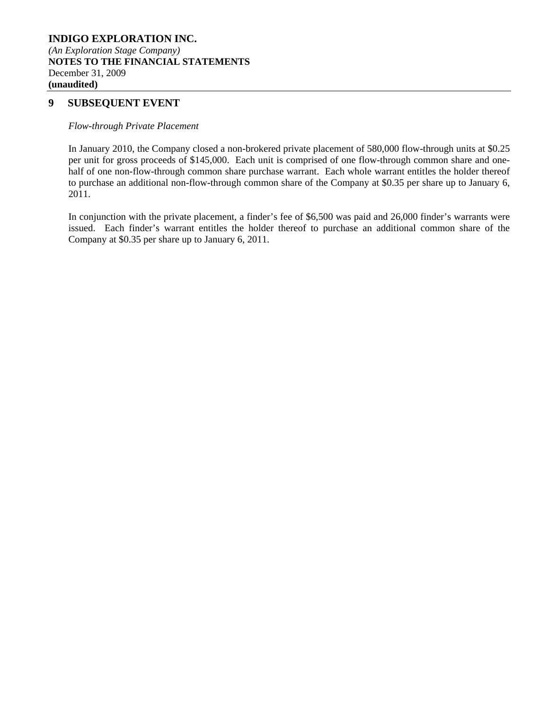## **9 SUBSEQUENT EVENT**

#### *Flow-through Private Placement*

In January 2010, the Company closed a non-brokered private placement of 580,000 flow-through units at \$0.25 per unit for gross proceeds of \$145,000. Each unit is comprised of one flow-through common share and onehalf of one non-flow-through common share purchase warrant. Each whole warrant entitles the holder thereof to purchase an additional non-flow-through common share of the Company at \$0.35 per share up to January 6, 2011.

In conjunction with the private placement, a finder's fee of \$6,500 was paid and 26,000 finder's warrants were issued. Each finder's warrant entitles the holder thereof to purchase an additional common share of the Company at \$0.35 per share up to January 6, 2011.